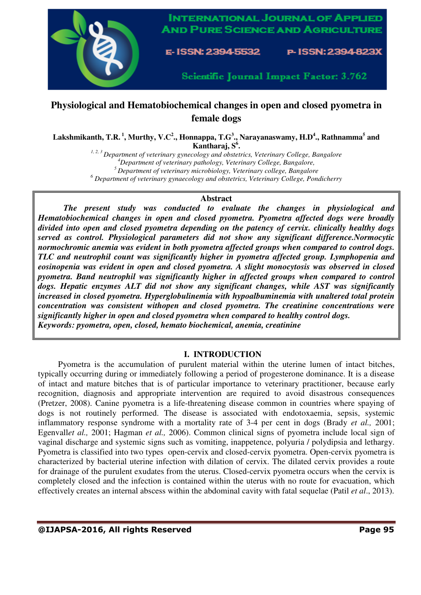

# **Physiological and Hematobiochemical changes in open and closed pyometra in female dogs**

**Lakshmikanth, T.R.<sup>1</sup>, Murthy, V.C<sup>2</sup> ., Honnappa, T.G<sup>3</sup> ., Narayanaswamy, H.D<sup>4</sup> ., Rathnamma<sup>5</sup> and Kantharaj, S<sup>6</sup> .** 

*1, 2, 3 Department of veterinary gynecology and obstetrics, Veterinary College, Bangalore*

*<sup>4</sup>Department of veterinary pathology, Veterinary College, Bangalore,* 

*<sup>5</sup>Department of veterinary microbiology, Veterinary college, Bangalore* 

<sup>6</sup> Department of veterinary gynaecology and obstetrics, Veterinary College, Pondicherry

### **Abstract**

*The present study was conducted to evaluate the changes in physiological and Hematobiochemical changes in open and closed pyometra. Pyometra affected dogs were broadly divided into open and closed pyometra depending on the patency of cervix. clinically healthy dogs served as control. Physiological parameters did not show any significant difference.Normocytic normochromic anemia was evident in both pyometra affected groups when compared to control dogs. TLC and neutrophil count was significantly higher in pyometra affected group. Lymphopenia and eosinopenia was evident in open and closed pyometra. A slight monocytosis was observed in closed pyometra. Band neutrophil was significantly higher in affected groups when compared to control*  dogs. Hepatic enzymes ALT did not show any significant changes, while AST was significantly *increased in closed pyometra. Hyperglobulinemia with hypoalbuminemia with unaltered total protein concentration was consistent withopen and closed pyometra. The creatinine concentrations were significantly higher in open and closed pyometra when compared to healthy control dogs. Keywords: pyometra, open, closed, hemato biochemical, anemia, creatinine* 

# **I. INTRODUCTION**

Pyometra is the accumulation of purulent material within the uterine lumen of intact bitches, typically occurring during or immediately following a period of progesterone dominance. It is a disease of intact and mature bitches that is of particular importance to veterinary practitioner, because early recognition, diagnosis and appropriate intervention are required to avoid disastrous consequences (Pretzer, 2008). Canine pyometra is a life-threatening disease common in countries where spaying of dogs is not routinely performed. The disease is associated with endotoxaemia, sepsis, systemic inflammatory response syndrome with a mortality rate of 3-4 per cent in dogs (Brady *et al.,* 2001; Egenvall*et al.,* 2001; Hagman *et al.,* 2006). Common clinical signs of pyometra include local sign of vaginal discharge and systemic signs such as vomiting, inappetence, polyuria / polydipsia and lethargy. Pyometra is classified into two types open-cervix and closed-cervix pyometra. Open-cervix pyometra is characterized by bacterial uterine infection with dilation of cervix. The dilated cervix provides a route for drainage of the purulent exudates from the uterus. Closed-cervix pyometra occurs when the cervix is completely closed and the infection is contained within the uterus with no route for evacuation, which effectively creates an internal abscess within the abdominal cavity with fatal sequelae (Patil *et al*., 2013).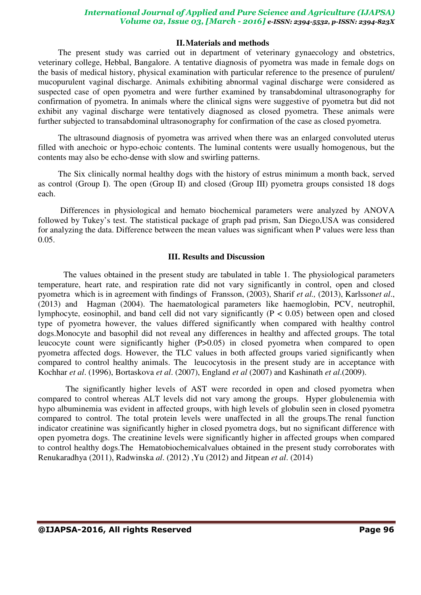## *International Journal of Applied and Pure Science and Agriculture (IJAPSA) Volume 02, Issue 03, [March - 2016] e-ISSN: 2394-5532, p-ISSN: 2394-823X*

### **II.Materials and methods**

The present study was carried out in department of veterinary gynaecology and obstetrics, veterinary college, Hebbal, Bangalore. A tentative diagnosis of pyometra was made in female dogs on the basis of medical history, physical examination with particular reference to the presence of purulent/ mucopurulent vaginal discharge. Animals exhibiting abnormal vaginal discharge were considered as suspected case of open pyometra and were further examined by transabdominal ultrasonography for confirmation of pyometra. In animals where the clinical signs were suggestive of pyometra but did not exhibit any vaginal discharge were tentatively diagnosed as closed pyometra. These animals were further subjected to transabdominal ultrasonography for confirmation of the case as closed pyometra.

The ultrasound diagnosis of pyometra was arrived when there was an enlarged convoluted uterus filled with anechoic or hypo-echoic contents. The luminal contents were usually homogenous, but the contents may also be echo-dense with slow and swirling patterns.

The Six clinically normal healthy dogs with the history of estrus minimum a month back, served as control (Group I). The open (Group II) and closed (Group III) pyometra groups consisted 18 dogs each.

 Differences in physiological and hemato biochemical parameters were analyzed by ANOVA followed by Tukey's test. The statistical package of graph pad prism, San Diego,USA was considered for analyzing the data. Difference between the mean values was significant when P values were less than 0.05.

#### **III. Results and Discussion**

The values obtained in the present study are tabulated in table 1. The physiological parameters temperature, heart rate, and respiration rate did not vary significantly in control, open and closed pyometra which is in agreement with findings of Fransson, (2003), Sharif *et al.,* (2013), Karlsson*et al*., (2013) and Hagman (2004). The haematological parameters like haemoglobin, PCV, neutrophil, lymphocyte, eosinophil, and band cell did not vary significantly (P < 0.05) between open and closed type of pyometra however, the values differed significantly when compared with healthy control dogs.Monocyte and basophil did not reveal any differences in healthy and affected groups. The total leucocyte count were significantly higher (P>0.05) in closed pyometra when compared to open pyometra affected dogs. However, the TLC values in both affected groups varied significantly when compared to control healthy animals. The leucocytosis in the present study are in acceptance with Kochhar *et al*. (1996), Bortaskova *et al*. (2007), England *et al* (2007) and Kashinath *et al*.(2009).

 The significantly higher levels of AST were recorded in open and closed pyometra when compared to control whereas ALT levels did not vary among the groups. Hyper globulenemia with hypo albuminemia was evident in affected groups, with high levels of globulin seen in closed pyometra compared to control. The total protein levels were unaffected in all the groups.The renal function indicator creatinine was significantly higher in closed pyometra dogs, but no significant difference with open pyometra dogs. The creatinine levels were significantly higher in affected groups when compared to control healthy dogs.The Hematobiochemicalvalues obtained in the present study corroborates with Renukaradhya (2011), Radwinska *al*. (2012) ,Yu (2012) and Jitpean *et al*. (2014)